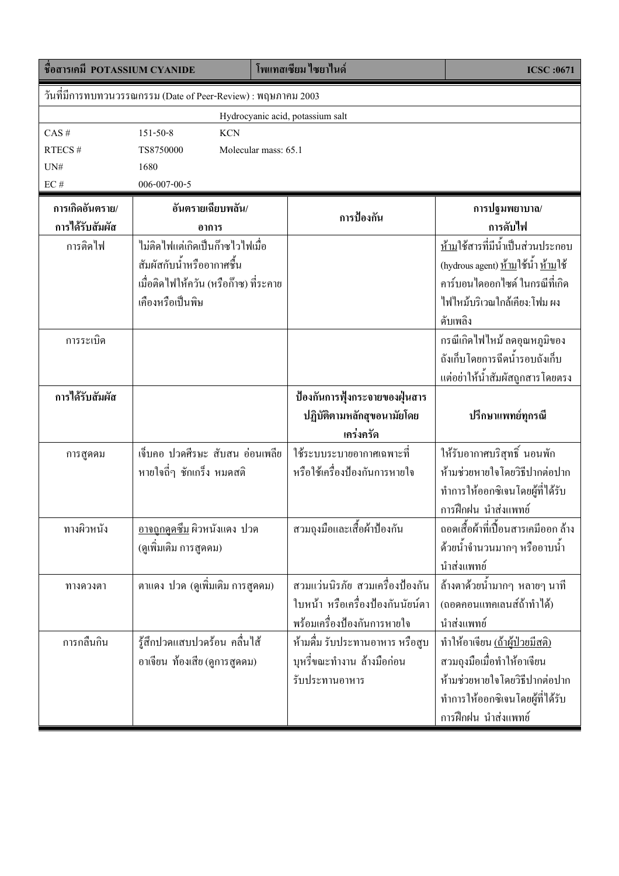| วันที่มีการทบทวนวรรณกรรม (Date of Peer-Review) : พฤษภาคม 2003<br>Hydrocyanic acid, potassium salt<br>CAS#<br><b>KCN</b><br>$151 - 50 - 8$<br>Molecular mass: 65.1<br>RTECS#<br>TS8750000<br>$UN#$<br>1680<br>$\rm EC$ #<br>$006 - 007 - 00 - 5$<br>การเกิดอันตราย/<br>อันตรายเฉียบพลัน/<br>การปฐมพยาบาล/<br>การป้องกัน<br>การได้รับสัมผัส<br>การดับไฟ<br>อาการ<br><u>ห้าม</u> ใช้สารที่มีน้ำเป็นส่วนประกอบ<br>ใม่ติดใฟแต่เกิดเป็นก๊าซไวไฟเมื่อ<br>การติดไฟ<br>(hydrous agent) <u>ห้าม</u> ใช้น้ำ <u>ห้าม</u> ใช้<br>สัมผัสกับน้ำหรืออากาศชื้น<br>ึ คาร์บอนไดออกไซด์ ในกรณีที่เกิด<br>เมื่อติดไฟให้ควัน (หรือก๊าซ) ที่ระคาย<br>เกืองหรือเป็นพิษ<br>ไฟไหม้บริเวณใกล้เคียง:โฟม ผง<br>ดับเพลิง<br>กรณีเกิดไฟไหม้ ลคอุณหภูมิของ<br>การระเบิด<br>ถังเก็บโดยการฉีดน้ำรอบถังเก็บ<br>แต่อย่าให้น้ำสัมผัสถูกสารโดยตรง<br>การใด้รับสัมผัส<br>ป้องกันการฟุ้งกระจายของฝุ่นสาร<br>ปฏิบัติตามหลักสุขอนามัยโดย<br>ปรึกษาแพทย์ทุกรณี<br>เคร่งครัด<br>ให้รับอากาศบริสุทธิ์ นอนพัก<br>เจ็บคอ ปวดศีรษะ สับสน อ่อนเพลีย<br>ใช้ระบบระบายอากาศเฉพาะที่<br>การสูดคม<br>หรือใช้เครื่องป้องกันการหายใจ<br>ห้ามช่วยหายใจโดยวิธีปากต่อปาก<br>หายใจถี่ๆ ชักเกร็ง หมดสติ<br>ทำการให้ออกซิเจนโดยผู้ที่ได้รับ<br>การฝึกฝน นำส่งแพทย์<br>สวมถุงมือและเสื้อผ้าป้องกัน<br>ถอดเสื้อผ้าที่เปื้อนสารเคมีออก ล้าง<br>ทางผิวหนัง<br><u>อาจถูกดูดซึม</u> ผิวหนังแดง ปวด<br>้ด้วยน้ำจำนวนมากๆ หรืออาบน้ำ<br>(ดูเพิ่มเติม การสูดคม)<br>นำส่งแพทย์<br>สวมแว่นนิรภัย สวมเครื่องป้องกัน<br>้ ถ้างตาด้วยน้ำมากๆ หลายๆ นาที<br>ตาแคง ปวด (ดูเพิ่มเติม การสูดคม)<br>ทางควงตา<br>ใบหน้า หรือเครื่องป้องกันนัยน์ตา<br>(ถอดคอนแทคเลนส์ถ้าทำได้)<br>พร้อมเครื่องป้องกันการหายใจ<br>นำส่งแพทย์<br>รู้สึกปวดแสบปวดร้อน คลื่นใส้<br>ห้ามคื่ม รับประทานอาหาร หรือสูบ<br>การกลืนกิน<br>ทำให้อาเจียน <u>(ถ้าผู้ป่วยมีสติ)</u><br>บุหรี่ขณะทำงาน ถ้างมือก่อน<br>สวมถุงมือเมื่อทำให้อาเจียน<br>อาเจียน ท้องเสีย (ดูการสูดดม)<br>ห้ามช่วยหายใจโดยวิธีปากต่อปาก<br>รับประทานอาหาร<br>ทำการให้ออกซิเจนโดยผู้ที่ได้รับ | ชื่อสารเคมี POTASSIUM CYANIDE |  |  | โพแทสเซียม ไซยาไนด์ | <b>ICSC:0671</b>    |  |  |  |  |
|-------------------------------------------------------------------------------------------------------------------------------------------------------------------------------------------------------------------------------------------------------------------------------------------------------------------------------------------------------------------------------------------------------------------------------------------------------------------------------------------------------------------------------------------------------------------------------------------------------------------------------------------------------------------------------------------------------------------------------------------------------------------------------------------------------------------------------------------------------------------------------------------------------------------------------------------------------------------------------------------------------------------------------------------------------------------------------------------------------------------------------------------------------------------------------------------------------------------------------------------------------------------------------------------------------------------------------------------------------------------------------------------------------------------------------------------------------------------------------------------------------------------------------------------------------------------------------------------------------------------------------------------------------------------------------------------------------------------------------------------------------------------------------------------------------------------------------------------------------------------------------------------------------------------------------------------------------|-------------------------------|--|--|---------------------|---------------------|--|--|--|--|
|                                                                                                                                                                                                                                                                                                                                                                                                                                                                                                                                                                                                                                                                                                                                                                                                                                                                                                                                                                                                                                                                                                                                                                                                                                                                                                                                                                                                                                                                                                                                                                                                                                                                                                                                                                                                                                                                                                                                                       |                               |  |  |                     |                     |  |  |  |  |
|                                                                                                                                                                                                                                                                                                                                                                                                                                                                                                                                                                                                                                                                                                                                                                                                                                                                                                                                                                                                                                                                                                                                                                                                                                                                                                                                                                                                                                                                                                                                                                                                                                                                                                                                                                                                                                                                                                                                                       |                               |  |  |                     |                     |  |  |  |  |
|                                                                                                                                                                                                                                                                                                                                                                                                                                                                                                                                                                                                                                                                                                                                                                                                                                                                                                                                                                                                                                                                                                                                                                                                                                                                                                                                                                                                                                                                                                                                                                                                                                                                                                                                                                                                                                                                                                                                                       |                               |  |  |                     |                     |  |  |  |  |
|                                                                                                                                                                                                                                                                                                                                                                                                                                                                                                                                                                                                                                                                                                                                                                                                                                                                                                                                                                                                                                                                                                                                                                                                                                                                                                                                                                                                                                                                                                                                                                                                                                                                                                                                                                                                                                                                                                                                                       |                               |  |  |                     |                     |  |  |  |  |
|                                                                                                                                                                                                                                                                                                                                                                                                                                                                                                                                                                                                                                                                                                                                                                                                                                                                                                                                                                                                                                                                                                                                                                                                                                                                                                                                                                                                                                                                                                                                                                                                                                                                                                                                                                                                                                                                                                                                                       |                               |  |  |                     |                     |  |  |  |  |
|                                                                                                                                                                                                                                                                                                                                                                                                                                                                                                                                                                                                                                                                                                                                                                                                                                                                                                                                                                                                                                                                                                                                                                                                                                                                                                                                                                                                                                                                                                                                                                                                                                                                                                                                                                                                                                                                                                                                                       |                               |  |  |                     |                     |  |  |  |  |
|                                                                                                                                                                                                                                                                                                                                                                                                                                                                                                                                                                                                                                                                                                                                                                                                                                                                                                                                                                                                                                                                                                                                                                                                                                                                                                                                                                                                                                                                                                                                                                                                                                                                                                                                                                                                                                                                                                                                                       |                               |  |  |                     |                     |  |  |  |  |
|                                                                                                                                                                                                                                                                                                                                                                                                                                                                                                                                                                                                                                                                                                                                                                                                                                                                                                                                                                                                                                                                                                                                                                                                                                                                                                                                                                                                                                                                                                                                                                                                                                                                                                                                                                                                                                                                                                                                                       |                               |  |  |                     |                     |  |  |  |  |
|                                                                                                                                                                                                                                                                                                                                                                                                                                                                                                                                                                                                                                                                                                                                                                                                                                                                                                                                                                                                                                                                                                                                                                                                                                                                                                                                                                                                                                                                                                                                                                                                                                                                                                                                                                                                                                                                                                                                                       |                               |  |  |                     |                     |  |  |  |  |
|                                                                                                                                                                                                                                                                                                                                                                                                                                                                                                                                                                                                                                                                                                                                                                                                                                                                                                                                                                                                                                                                                                                                                                                                                                                                                                                                                                                                                                                                                                                                                                                                                                                                                                                                                                                                                                                                                                                                                       |                               |  |  |                     |                     |  |  |  |  |
|                                                                                                                                                                                                                                                                                                                                                                                                                                                                                                                                                                                                                                                                                                                                                                                                                                                                                                                                                                                                                                                                                                                                                                                                                                                                                                                                                                                                                                                                                                                                                                                                                                                                                                                                                                                                                                                                                                                                                       |                               |  |  |                     |                     |  |  |  |  |
|                                                                                                                                                                                                                                                                                                                                                                                                                                                                                                                                                                                                                                                                                                                                                                                                                                                                                                                                                                                                                                                                                                                                                                                                                                                                                                                                                                                                                                                                                                                                                                                                                                                                                                                                                                                                                                                                                                                                                       |                               |  |  |                     |                     |  |  |  |  |
|                                                                                                                                                                                                                                                                                                                                                                                                                                                                                                                                                                                                                                                                                                                                                                                                                                                                                                                                                                                                                                                                                                                                                                                                                                                                                                                                                                                                                                                                                                                                                                                                                                                                                                                                                                                                                                                                                                                                                       |                               |  |  |                     |                     |  |  |  |  |
|                                                                                                                                                                                                                                                                                                                                                                                                                                                                                                                                                                                                                                                                                                                                                                                                                                                                                                                                                                                                                                                                                                                                                                                                                                                                                                                                                                                                                                                                                                                                                                                                                                                                                                                                                                                                                                                                                                                                                       |                               |  |  |                     |                     |  |  |  |  |
|                                                                                                                                                                                                                                                                                                                                                                                                                                                                                                                                                                                                                                                                                                                                                                                                                                                                                                                                                                                                                                                                                                                                                                                                                                                                                                                                                                                                                                                                                                                                                                                                                                                                                                                                                                                                                                                                                                                                                       |                               |  |  |                     |                     |  |  |  |  |
|                                                                                                                                                                                                                                                                                                                                                                                                                                                                                                                                                                                                                                                                                                                                                                                                                                                                                                                                                                                                                                                                                                                                                                                                                                                                                                                                                                                                                                                                                                                                                                                                                                                                                                                                                                                                                                                                                                                                                       |                               |  |  |                     |                     |  |  |  |  |
|                                                                                                                                                                                                                                                                                                                                                                                                                                                                                                                                                                                                                                                                                                                                                                                                                                                                                                                                                                                                                                                                                                                                                                                                                                                                                                                                                                                                                                                                                                                                                                                                                                                                                                                                                                                                                                                                                                                                                       |                               |  |  |                     |                     |  |  |  |  |
|                                                                                                                                                                                                                                                                                                                                                                                                                                                                                                                                                                                                                                                                                                                                                                                                                                                                                                                                                                                                                                                                                                                                                                                                                                                                                                                                                                                                                                                                                                                                                                                                                                                                                                                                                                                                                                                                                                                                                       |                               |  |  |                     |                     |  |  |  |  |
|                                                                                                                                                                                                                                                                                                                                                                                                                                                                                                                                                                                                                                                                                                                                                                                                                                                                                                                                                                                                                                                                                                                                                                                                                                                                                                                                                                                                                                                                                                                                                                                                                                                                                                                                                                                                                                                                                                                                                       |                               |  |  |                     |                     |  |  |  |  |
|                                                                                                                                                                                                                                                                                                                                                                                                                                                                                                                                                                                                                                                                                                                                                                                                                                                                                                                                                                                                                                                                                                                                                                                                                                                                                                                                                                                                                                                                                                                                                                                                                                                                                                                                                                                                                                                                                                                                                       |                               |  |  |                     |                     |  |  |  |  |
|                                                                                                                                                                                                                                                                                                                                                                                                                                                                                                                                                                                                                                                                                                                                                                                                                                                                                                                                                                                                                                                                                                                                                                                                                                                                                                                                                                                                                                                                                                                                                                                                                                                                                                                                                                                                                                                                                                                                                       |                               |  |  |                     |                     |  |  |  |  |
|                                                                                                                                                                                                                                                                                                                                                                                                                                                                                                                                                                                                                                                                                                                                                                                                                                                                                                                                                                                                                                                                                                                                                                                                                                                                                                                                                                                                                                                                                                                                                                                                                                                                                                                                                                                                                                                                                                                                                       |                               |  |  |                     |                     |  |  |  |  |
|                                                                                                                                                                                                                                                                                                                                                                                                                                                                                                                                                                                                                                                                                                                                                                                                                                                                                                                                                                                                                                                                                                                                                                                                                                                                                                                                                                                                                                                                                                                                                                                                                                                                                                                                                                                                                                                                                                                                                       |                               |  |  |                     |                     |  |  |  |  |
|                                                                                                                                                                                                                                                                                                                                                                                                                                                                                                                                                                                                                                                                                                                                                                                                                                                                                                                                                                                                                                                                                                                                                                                                                                                                                                                                                                                                                                                                                                                                                                                                                                                                                                                                                                                                                                                                                                                                                       |                               |  |  |                     |                     |  |  |  |  |
|                                                                                                                                                                                                                                                                                                                                                                                                                                                                                                                                                                                                                                                                                                                                                                                                                                                                                                                                                                                                                                                                                                                                                                                                                                                                                                                                                                                                                                                                                                                                                                                                                                                                                                                                                                                                                                                                                                                                                       |                               |  |  |                     |                     |  |  |  |  |
|                                                                                                                                                                                                                                                                                                                                                                                                                                                                                                                                                                                                                                                                                                                                                                                                                                                                                                                                                                                                                                                                                                                                                                                                                                                                                                                                                                                                                                                                                                                                                                                                                                                                                                                                                                                                                                                                                                                                                       |                               |  |  |                     |                     |  |  |  |  |
|                                                                                                                                                                                                                                                                                                                                                                                                                                                                                                                                                                                                                                                                                                                                                                                                                                                                                                                                                                                                                                                                                                                                                                                                                                                                                                                                                                                                                                                                                                                                                                                                                                                                                                                                                                                                                                                                                                                                                       |                               |  |  |                     |                     |  |  |  |  |
|                                                                                                                                                                                                                                                                                                                                                                                                                                                                                                                                                                                                                                                                                                                                                                                                                                                                                                                                                                                                                                                                                                                                                                                                                                                                                                                                                                                                                                                                                                                                                                                                                                                                                                                                                                                                                                                                                                                                                       |                               |  |  |                     |                     |  |  |  |  |
|                                                                                                                                                                                                                                                                                                                                                                                                                                                                                                                                                                                                                                                                                                                                                                                                                                                                                                                                                                                                                                                                                                                                                                                                                                                                                                                                                                                                                                                                                                                                                                                                                                                                                                                                                                                                                                                                                                                                                       |                               |  |  |                     |                     |  |  |  |  |
|                                                                                                                                                                                                                                                                                                                                                                                                                                                                                                                                                                                                                                                                                                                                                                                                                                                                                                                                                                                                                                                                                                                                                                                                                                                                                                                                                                                                                                                                                                                                                                                                                                                                                                                                                                                                                                                                                                                                                       |                               |  |  |                     |                     |  |  |  |  |
|                                                                                                                                                                                                                                                                                                                                                                                                                                                                                                                                                                                                                                                                                                                                                                                                                                                                                                                                                                                                                                                                                                                                                                                                                                                                                                                                                                                                                                                                                                                                                                                                                                                                                                                                                                                                                                                                                                                                                       |                               |  |  |                     |                     |  |  |  |  |
|                                                                                                                                                                                                                                                                                                                                                                                                                                                                                                                                                                                                                                                                                                                                                                                                                                                                                                                                                                                                                                                                                                                                                                                                                                                                                                                                                                                                                                                                                                                                                                                                                                                                                                                                                                                                                                                                                                                                                       |                               |  |  |                     |                     |  |  |  |  |
|                                                                                                                                                                                                                                                                                                                                                                                                                                                                                                                                                                                                                                                                                                                                                                                                                                                                                                                                                                                                                                                                                                                                                                                                                                                                                                                                                                                                                                                                                                                                                                                                                                                                                                                                                                                                                                                                                                                                                       |                               |  |  |                     |                     |  |  |  |  |
|                                                                                                                                                                                                                                                                                                                                                                                                                                                                                                                                                                                                                                                                                                                                                                                                                                                                                                                                                                                                                                                                                                                                                                                                                                                                                                                                                                                                                                                                                                                                                                                                                                                                                                                                                                                                                                                                                                                                                       |                               |  |  |                     |                     |  |  |  |  |
|                                                                                                                                                                                                                                                                                                                                                                                                                                                                                                                                                                                                                                                                                                                                                                                                                                                                                                                                                                                                                                                                                                                                                                                                                                                                                                                                                                                                                                                                                                                                                                                                                                                                                                                                                                                                                                                                                                                                                       |                               |  |  |                     | การฝึกฝน นำส่งแพทย์ |  |  |  |  |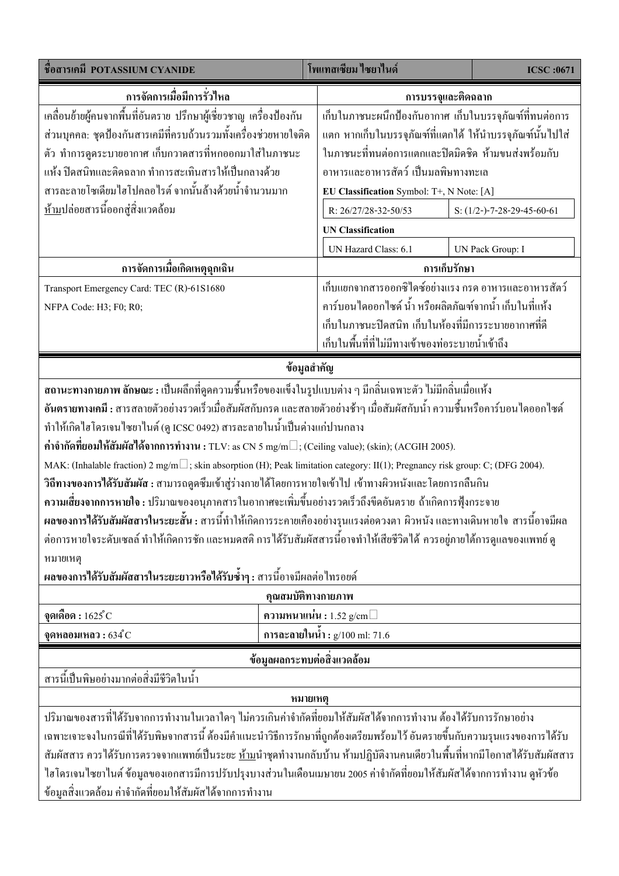| ชื่อสารเคมี POTASSIUM CYANIDE                                                                                                     | โพแทสเซียม ไซยาไนด์                                             |                                           | <b>ICSC:0671</b> |                            |  |  |  |
|-----------------------------------------------------------------------------------------------------------------------------------|-----------------------------------------------------------------|-------------------------------------------|------------------|----------------------------|--|--|--|
| ิ การจัดการเมื่อมีการรั่วไหล                                                                                                      | การบรรจุและติดฉลาก                                              |                                           |                  |                            |  |  |  |
| เคลื่อนย้ายผู้คนจากพื้นที่อันตราย ปรึกษาผู้เชี่ยวชาญ เครื่องป้องกัน                                                               | เก็บในภาชนะผนึกป้องกันอากาศ เก็บในบรรจุภัณฑ์ที่ทนต่อการ         |                                           |                  |                            |  |  |  |
| ส่วนบุคคล: ชุดป้องกันสารเคมีที่ครบถ้วนรวมทั้งเครื่องช่วยหายใจติด                                                                  | แตก หากเก็บในบรรจุภัณฑ์ที่แตกได้ ให้นำบรรจุภัณฑ์นั้นไปใส่       |                                           |                  |                            |  |  |  |
| ตัว ทำการดูคระบายอากาศ เก็บกวาคสารที่หกออกมาใส่ในภาชนะ                                                                            | ในภาชนะที่ทนต่อการแตกและปิดมิดชิด ห้ามขนส่งพร้อมกับ             |                                           |                  |                            |  |  |  |
| แห้ง ปิดสนิทและติดฉลาก ทำการสะเทินสารให้เป็นกลางด้วย                                                                              |                                                                 | ้อาหารและอาหารสัตว์ เป็นมลพิษทางทะเล      |                  |                            |  |  |  |
| สารละลายโซเดียมใฮโปคลอใรต์ จากนั้นล้างด้วยน้ำจำนวนมาก                                                                             |                                                                 | EU Classification Symbol: T+, N Note: [A] |                  |                            |  |  |  |
| <u>ห้าม</u> ปล่อยสารนี้ออกสู่สิ่งแวดล้อม                                                                                          |                                                                 | R: 26/27/28-32-50/53                      |                  | S: (1/2-)-7-28-29-45-60-61 |  |  |  |
|                                                                                                                                   |                                                                 | <b>UN Classification</b>                  |                  |                            |  |  |  |
|                                                                                                                                   |                                                                 | UN Hazard Class: 6.1                      |                  | UN Pack Group: I           |  |  |  |
| การจัดการเมื่อเกิดเหตุฉุกเฉิน                                                                                                     |                                                                 | การเก็บรักษา                              |                  |                            |  |  |  |
| Transport Emergency Card: TEC (R)-61S1680                                                                                         | เก็บแยกจากสารออกซิไคซ์อย่างแรง กรด อาหารและอาหารสัตว์           |                                           |                  |                            |  |  |  |
| NFPA Code: H3; F0; R0;                                                                                                            | คาร์บอนไดออกไซด์ น้ำ หรือผลิตภัณฑ์จากน้ำ เก็บในที่แห้ง          |                                           |                  |                            |  |  |  |
|                                                                                                                                   | เก็บในภาชนะปิดสนิท เก็บในห้องที่มีการระบายอากาศที่ดี            |                                           |                  |                            |  |  |  |
|                                                                                                                                   | เก็บในพื้นที่ที่ไม่มีทางเข้าของท่อระบายน้ำเข้าถึง               |                                           |                  |                            |  |  |  |
| ข้อมูลสำคัญ                                                                                                                       |                                                                 |                                           |                  |                            |  |  |  |
| สถานะทางกายภาพ ลักษณะ : เป็นผลึกที่ดูดความชื้นหรือของแข็งในรูปแบบต่าง ๆ มีกลิ่นเฉพาะตัว ไม่มีกลิ่นเมื่อแห้ง                       |                                                                 |                                           |                  |                            |  |  |  |
| อันตรายทางเคมี : สารสลายตัวอย่างรวดเร็วเมื่อสัมผัสกับกรด และสลายตัวอย่างช้าๆ เมื่อสัมผัสกับน้ำ ความชื้นหรือคาร์บอนไดออกไซด์       |                                                                 |                                           |                  |                            |  |  |  |
| ทำให้เกิดไฮโครเจนไซยาไนต์ (ดู ICSC 0492) สารละลายในน้ำเป็นด่างแก่ปานกลาง                                                          |                                                                 |                                           |                  |                            |  |  |  |
| ค่าจำกัดที่ยอมให้สัมผัสได้จากการทำงาน : TLV: as CN 5 mg/m ; (Ceiling value); (skin); (ACGIH 2005).                                |                                                                 |                                           |                  |                            |  |  |  |
| MAK: (Inhalable fraction) 2 mg/m ; skin absorption (H); Peak limitation category: II(1); Pregnancy risk group: C; (DFG 2004).     |                                                                 |                                           |                  |                            |  |  |  |
| ้วิถีทางของการใด้รับสัมผัส : สามารถดูคซึมเข้าสู่ร่างกายใด้โดยการหายใจเข้าไป เข้าทางผิวหนังและโดยการกลืนกิน                        |                                                                 |                                           |                  |                            |  |  |  |
| ี ความเสี่ยงจากการหายใจ : ปริมาณของอนุภาคสารในอากาศจะเพิ่มขึ้นอย่างรวดเร็วถึงขีดอันตราย ถ้าเกิดการฟุ้งกระจาย                      |                                                                 |                                           |                  |                            |  |  |  |
| ุผลของการได้รับสัมผัสสารในระยะสั้น : สารนี้ทำให้เกิดการระคายเคืองอย่างรนแรงต่อควงตา ผิวหนัง และทางเดินหายใจ สารนี้อาจมีผล         |                                                                 |                                           |                  |                            |  |  |  |
| ต่อการหายใจระดับเซลล์ ทำให้เกิดการชัก และหมดสติ การได้รับสัมผัสสารนี้อาจทำให้เสียชีวิตได้ ควรอยู่ภายใต้การดูแลของแพทย์ ดู         |                                                                 |                                           |                  |                            |  |  |  |
| หมายเหตุ                                                                                                                          |                                                                 |                                           |                  |                            |  |  |  |
| ผลของการได้รับสัมผัสสารในระยะยาวหรือได้รับซ้ำๆ : สารนี้อาจมีผลต่อไทรอยด์                                                          |                                                                 |                                           |                  |                            |  |  |  |
| คุณสมบัติทางกายภาพ                                                                                                                |                                                                 |                                           |                  |                            |  |  |  |
| จุดเดือด : $1625^{\circ}$ C                                                                                                       | ความหนาแน่น: $1.52$ g/cm                                        |                                           |                  |                            |  |  |  |
|                                                                                                                                   | การละลายในน้ำ: $g/100$ ml: 71.6<br>จุดหลอมเหลว $:634^{\circ}$ C |                                           |                  |                            |  |  |  |
| ข้อมูลผลกระทบต่อสิ่งแวดล้อม                                                                                                       |                                                                 |                                           |                  |                            |  |  |  |
| สารนี้เป็นพิษอย่างมากต่อสิ่งมีชีวิตในน้ำ                                                                                          |                                                                 |                                           |                  |                            |  |  |  |
| หมายเหตุ                                                                                                                          |                                                                 |                                           |                  |                            |  |  |  |
| ปริมาณของสารที่ได้รับจากการทำงานในเวลาใดๆ ไม่ควรเกินค่าจำกัดที่ยอมให้สัมผัสได้จากการทำงาน ต้องได้รับการรักษาอย่าง                 |                                                                 |                                           |                  |                            |  |  |  |
| ้เฉพาะเจาะจงในกรณีที่ได้รับพิษจากสารนี้ ต้องมีคำแนะนำวิธีการรักษาที่ถูกต้องเตรียมพร้อมไว้ อันตรายขึ้นกับความรุนแรงของการได้รับ    |                                                                 |                                           |                  |                            |  |  |  |
| สัมผัสสาร ควรได้รับการตรวจจากแพทย์เป็นระยะ <u>ห้าม</u> นำชุดทำงานกลับบ้าน ห้ามปฏิบัติงานคนเดียวในพื้นที่หากมีโอกาสได้รับสัมผัสสาร |                                                                 |                                           |                  |                            |  |  |  |
| ไฮโครเจนใซยาในต์ ข้อมูลของเอกสารมีการปรับปรุงบางส่วนในเดือนเมษายน 2005 ค่าจำกัดที่ยอมให้สัมผัสได้จากการทำงาน ดูหัวข้อ             |                                                                 |                                           |                  |                            |  |  |  |
| ข้อมูลสิ่งแวดล้อม ค่าจำกัดที่ยอมให้สัมผัสได้จากการทำงาน                                                                           |                                                                 |                                           |                  |                            |  |  |  |